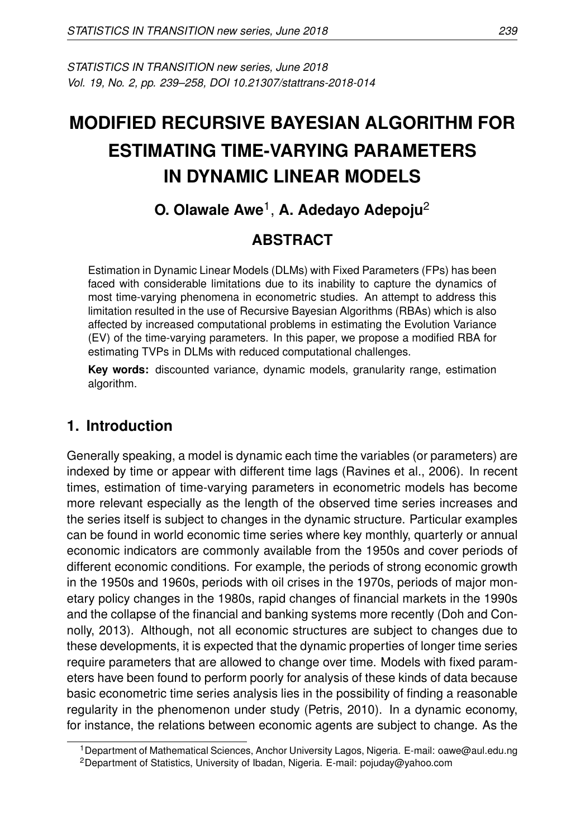*STATISTICS IN TRANSITION new series, June 2018 Vol. 19, No. 2, pp. 239–258, DOI 10.21307/stattrans-2018-014*

# **MODIFIED RECURSIVE BAYESIAN ALGORITHM FOR ESTIMATING TIME-VARYING PARAMETERS IN DYNAMIC LINEAR MODELS**

# **O. Olawale Awe**<sup>1</sup> , **A. Adedayo Adepoju**<sup>2</sup>

## **ABSTRACT**

Estimation in Dynamic Linear Models (DLMs) with Fixed Parameters (FPs) has been faced with considerable limitations due to its inability to capture the dynamics of most time-varying phenomena in econometric studies. An attempt to address this limitation resulted in the use of Recursive Bayesian Algorithms (RBAs) which is also affected by increased computational problems in estimating the Evolution Variance (EV) of the time-varying parameters. In this paper, we propose a modified RBA for estimating TVPs in DLMs with reduced computational challenges.

**Key words:** discounted variance, dynamic models, granularity range, estimation algorithm.

## **1. Introduction**

Generally speaking, a model is dynamic each time the variables (or parameters) are indexed by time or appear with different time lags (Ravines et al., 2006). In recent times, estimation of time-varying parameters in econometric models has become more relevant especially as the length of the observed time series increases and the series itself is subject to changes in the dynamic structure. Particular examples can be found in world economic time series where key monthly, quarterly or annual economic indicators are commonly available from the 1950s and cover periods of different economic conditions. For example, the periods of strong economic growth in the 1950s and 1960s, periods with oil crises in the 1970s, periods of major monetary policy changes in the 1980s, rapid changes of financial markets in the 1990s and the collapse of the financial and banking systems more recently (Doh and Connolly, 2013). Although, not all economic structures are subject to changes due to these developments, it is expected that the dynamic properties of longer time series require parameters that are allowed to change over time. Models with fixed parameters have been found to perform poorly for analysis of these kinds of data because basic econometric time series analysis lies in the possibility of finding a reasonable regularity in the phenomenon under study (Petris, 2010). In a dynamic economy, for instance, the relations between economic agents are subject to change. As the

<sup>1</sup>Department of Mathematical Sciences, Anchor University Lagos, Nigeria. E-mail: oawe@aul.edu.ng

<sup>&</sup>lt;sup>2</sup>Department of Statistics, University of Ibadan, Nigeria. E-mail: pojuday@yahoo.com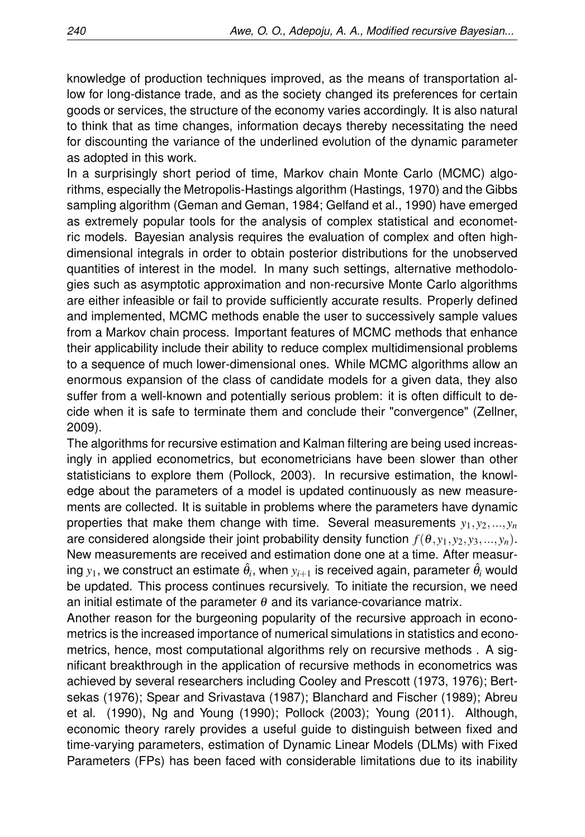knowledge of production techniques improved, as the means of transportation allow for long-distance trade, and as the society changed its preferences for certain goods or services, the structure of the economy varies accordingly. It is also natural to think that as time changes, information decays thereby necessitating the need for discounting the variance of the underlined evolution of the dynamic parameter as adopted in this work.

In a surprisingly short period of time, Markov chain Monte Carlo (MCMC) algorithms, especially the Metropolis-Hastings algorithm (Hastings, 1970) and the Gibbs sampling algorithm (Geman and Geman, 1984; Gelfand et al., 1990) have emerged as extremely popular tools for the analysis of complex statistical and econometric models. Bayesian analysis requires the evaluation of complex and often highdimensional integrals in order to obtain posterior distributions for the unobserved quantities of interest in the model. In many such settings, alternative methodologies such as asymptotic approximation and non-recursive Monte Carlo algorithms are either infeasible or fail to provide sufficiently accurate results. Properly defined and implemented, MCMC methods enable the user to successively sample values from a Markov chain process. Important features of MCMC methods that enhance their applicability include their ability to reduce complex multidimensional problems to a sequence of much lower-dimensional ones. While MCMC algorithms allow an enormous expansion of the class of candidate models for a given data, they also suffer from a well-known and potentially serious problem: it is often difficult to decide when it is safe to terminate them and conclude their "convergence" (Zellner, 2009).

The algorithms for recursive estimation and Kalman filtering are being used increasingly in applied econometrics, but econometricians have been slower than other statisticians to explore them (Pollock, 2003). In recursive estimation, the knowledge about the parameters of a model is updated continuously as new measurements are collected. It is suitable in problems where the parameters have dynamic properties that make them change with time. Several measurements  $y_1, y_2, ..., y_n$ are considered alongside their joint probability density function  $f(\theta, y_1, y_2, y_3, ..., y_n)$ . New measurements are received and estimation done one at a time. After measuring  $y_1$ , we construct an estimate  $\hat{\theta}_i$ , when  $y_{i+1}$  is received again, parameter  $\hat{\theta}_i$  would be updated. This process continues recursively. To initiate the recursion, we need an initial estimate of the parameter  $\theta$  and its variance-covariance matrix.

Another reason for the burgeoning popularity of the recursive approach in econometrics is the increased importance of numerical simulations in statistics and econometrics, hence, most computational algorithms rely on recursive methods . A significant breakthrough in the application of recursive methods in econometrics was achieved by several researchers including Cooley and Prescott (1973, 1976); Bertsekas (1976); Spear and Srivastava (1987); Blanchard and Fischer (1989); Abreu et al. (1990), Ng and Young (1990); Pollock (2003); Young (2011). Although, economic theory rarely provides a useful guide to distinguish between fixed and time-varying parameters, estimation of Dynamic Linear Models (DLMs) with Fixed Parameters (FPs) has been faced with considerable limitations due to its inability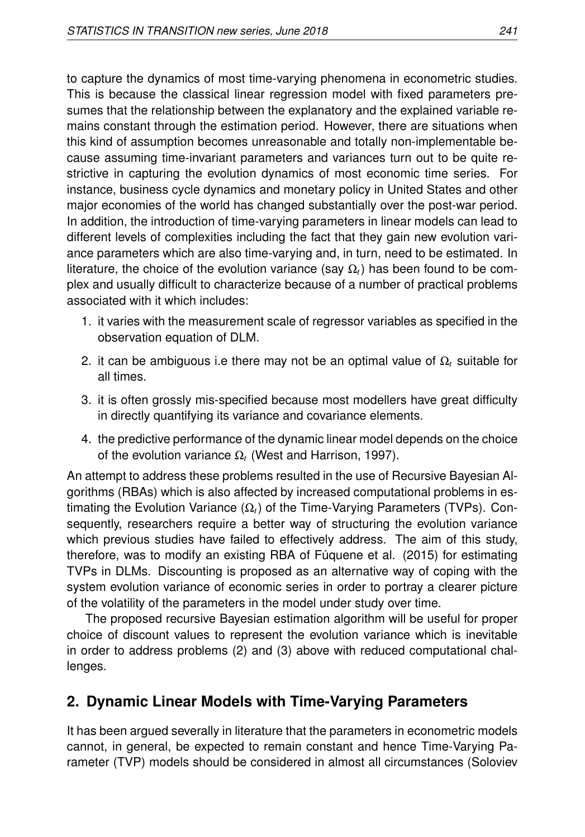to capture the dynamics of most time-varying phenomena in econometric studies. This is because the classical linear regression model with fixed parameters presumes that the relationship between the explanatory and the explained variable remains constant through the estimation period. However, there are situations when this kind of assumption becomes unreasonable and totally non-implementable because assuming time-invariant parameters and variances turn out to be quite restrictive in capturing the evolution dynamics of most economic time series. For instance, business cycle dynamics and monetary policy in United States and other major economies of the world has changed substantially over the post-war period. In addition, the introduction of time-varying parameters in linear models can lead to different levels of complexities including the fact that they gain new evolution variance parameters which are also time-varying and, in turn, need to be estimated. In literature, the choice of the evolution variance (say  $\Omega_t$ ) has been found to be complex and usually difficult to characterize because of a number of practical problems associated with it which includes:

- 1. it varies with the measurement scale of regressor variables as specified in the observation equation of DLM.
- 2. it can be ambiguous i.e there may not be an optimal value of Ω*<sup>t</sup>* suitable for all times.
- 3. it is often grossly mis-specified because most modellers have great difficulty in directly quantifying its variance and covariance elements.
- 4. the predictive performance of the dynamic linear model depends on the choice of the evolution variance Ω*<sup>t</sup>* (West and Harrison, 1997).

An attempt to address these problems resulted in the use of Recursive Bayesian Algorithms (RBAs) which is also affected by increased computational problems in estimating the Evolution Variance (Ω*t*) of the Time-Varying Parameters (TVPs). Consequently, researchers require a better way of structuring the evolution variance which previous studies have failed to effectively address. The aim of this study, therefore, was to modify an existing RBA of Fúquene et al. (2015) for estimating TVPs in DLMs. Discounting is proposed as an alternative way of coping with the system evolution variance of economic series in order to portray a clearer picture of the volatility of the parameters in the model under study over time.

The proposed recursive Bayesian estimation algorithm will be useful for proper choice of discount values to represent the evolution variance which is inevitable in order to address problems (2) and (3) above with reduced computational challenges.

# **2. Dynamic Linear Models with Time-Varying Parameters**

It has been argued severally in literature that the parameters in econometric models cannot, in general, be expected to remain constant and hence Time-Varying Parameter (TVP) models should be considered in almost all circumstances (Soloviev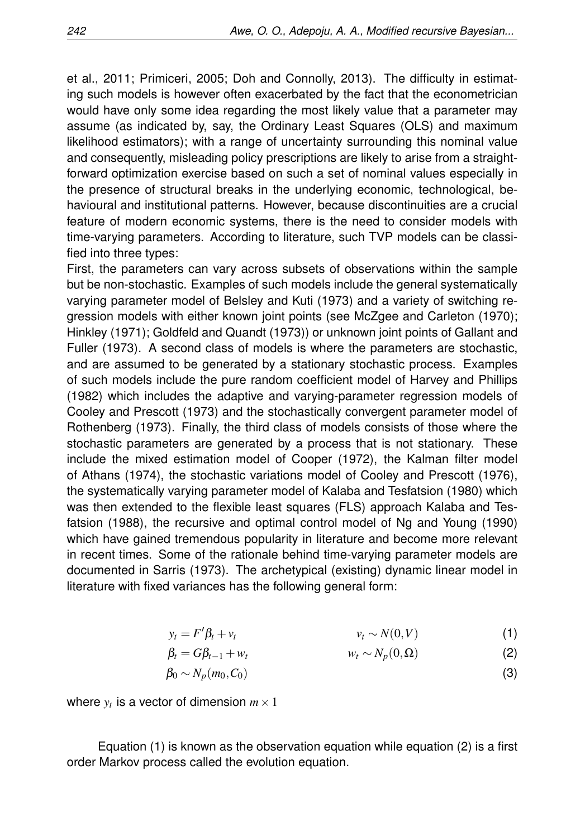et al., 2011; Primiceri, 2005; Doh and Connolly, 2013). The difficulty in estimating such models is however often exacerbated by the fact that the econometrician would have only some idea regarding the most likely value that a parameter may assume (as indicated by, say, the Ordinary Least Squares (OLS) and maximum likelihood estimators); with a range of uncertainty surrounding this nominal value and consequently, misleading policy prescriptions are likely to arise from a straightforward optimization exercise based on such a set of nominal values especially in the presence of structural breaks in the underlying economic, technological, behavioural and institutional patterns. However, because discontinuities are a crucial feature of modern economic systems, there is the need to consider models with time-varying parameters. According to literature, such TVP models can be classified into three types:

First, the parameters can vary across subsets of observations within the sample but be non-stochastic. Examples of such models include the general systematically varying parameter model of Belsley and Kuti (1973) and a variety of switching regression models with either known joint points (see McZgee and Carleton (1970); Hinkley (1971); Goldfeld and Quandt (1973)) or unknown joint points of Gallant and Fuller (1973). A second class of models is where the parameters are stochastic, and are assumed to be generated by a stationary stochastic process. Examples of such models include the pure random coefficient model of Harvey and Phillips (1982) which includes the adaptive and varying-parameter regression models of Cooley and Prescott (1973) and the stochastically convergent parameter model of Rothenberg (1973). Finally, the third class of models consists of those where the stochastic parameters are generated by a process that is not stationary. These include the mixed estimation model of Cooper (1972), the Kalman filter model of Athans (1974), the stochastic variations model of Cooley and Prescott (1976), the systematically varying parameter model of Kalaba and Tesfatsion (1980) which was then extended to the flexible least squares (FLS) approach Kalaba and Tesfatsion (1988), the recursive and optimal control model of Ng and Young (1990) which have gained tremendous popularity in literature and become more relevant in recent times. Some of the rationale behind time-varying parameter models are documented in Sarris (1973). The archetypical (existing) dynamic linear model in literature with fixed variances has the following general form:

$$
y_t = F'\beta_t + v_t \qquad \qquad v_t \sim N(0, V) \tag{1}
$$

$$
\beta_t = G\beta_{t-1} + w_t \qquad \qquad w_t \sim N_p(0, \Omega) \tag{2}
$$

$$
\beta_0 \sim N_p(m_0, C_0) \tag{3}
$$

where  $y_t$  is a vector of dimension  $m \times 1$ 

Equation (1) is known as the observation equation while equation (2) is a first order Markov process called the evolution equation.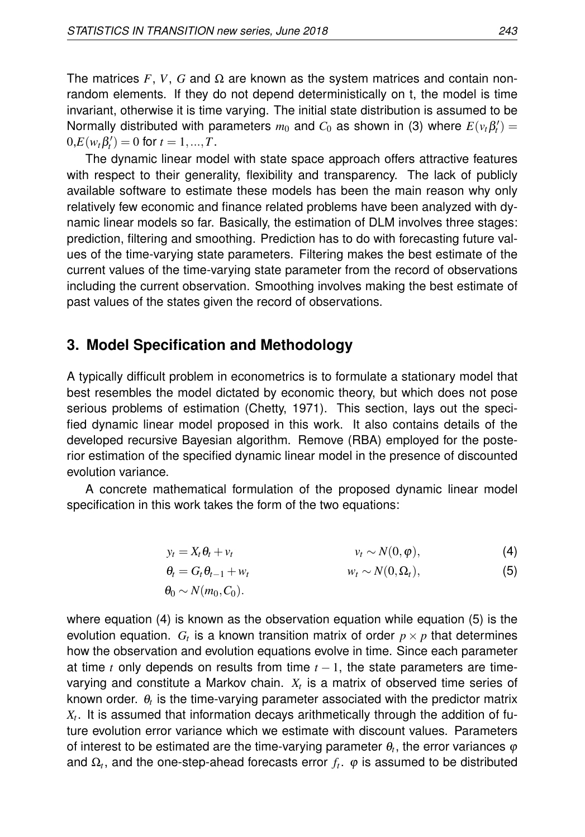The matrices  $F$ ,  $V$ ,  $G$  and  $\Omega$  are known as the system matrices and contain nonrandom elements. If they do not depend deterministically on t, the model is time invariant, otherwise it is time varying. The initial state distribution is assumed to be Normally distributed with parameters  $m_0$  and  $C_0$  as shown in (3) where  $E(v_t\beta_t')=0$  $0, E(w_t \beta'_t) = 0$  for  $t = 1, ..., T$ .

The dynamic linear model with state space approach offers attractive features with respect to their generality, flexibility and transparency. The lack of publicly available software to estimate these models has been the main reason why only relatively few economic and finance related problems have been analyzed with dynamic linear models so far. Basically, the estimation of DLM involves three stages: prediction, filtering and smoothing. Prediction has to do with forecasting future values of the time-varying state parameters. Filtering makes the best estimate of the current values of the time-varying state parameter from the record of observations including the current observation. Smoothing involves making the best estimate of past values of the states given the record of observations.

## **3. Model Specification and Methodology**

A typically difficult problem in econometrics is to formulate a stationary model that best resembles the model dictated by economic theory, but which does not pose serious problems of estimation (Chetty, 1971). This section, lays out the specified dynamic linear model proposed in this work. It also contains details of the developed recursive Bayesian algorithm. Remove (RBA) employed for the posterior estimation of the specified dynamic linear model in the presence of discounted evolution variance.

A concrete mathematical formulation of the proposed dynamic linear model specification in this work takes the form of the two equations:

$$
y_t = X_t \theta_t + v_t \qquad \qquad v_t \sim N(0, \varphi), \qquad (4)
$$

$$
\theta_t = G_t \theta_{t-1} + w_t \qquad \qquad w_t \sim N(0, \Omega_t), \qquad (5)
$$

$$
\theta_0 \sim N(m_0, C_0).
$$

where equation (4) is known as the observation equation while equation (5) is the evolution equation.  $G_t$  is a known transition matrix of order  $p\times p$  that determines how the observation and evolution equations evolve in time. Since each parameter at time *t* only depends on results from time  $t - 1$ , the state parameters are timevarying and constitute a Markov chain. *X<sup>t</sup>* is a matrix of observed time series of known order.  $\theta_t$  is the time-varying parameter associated with the predictor matrix *Xt* . It is assumed that information decays arithmetically through the addition of future evolution error variance which we estimate with discount values. Parameters of interest to be estimated are the time-varying parameter  $\theta_t$ , the error variances  $\varphi$ and  $\Omega_t$ , and the one-step-ahead forecasts error  $f_t$ .  $\varphi$  is assumed to be distributed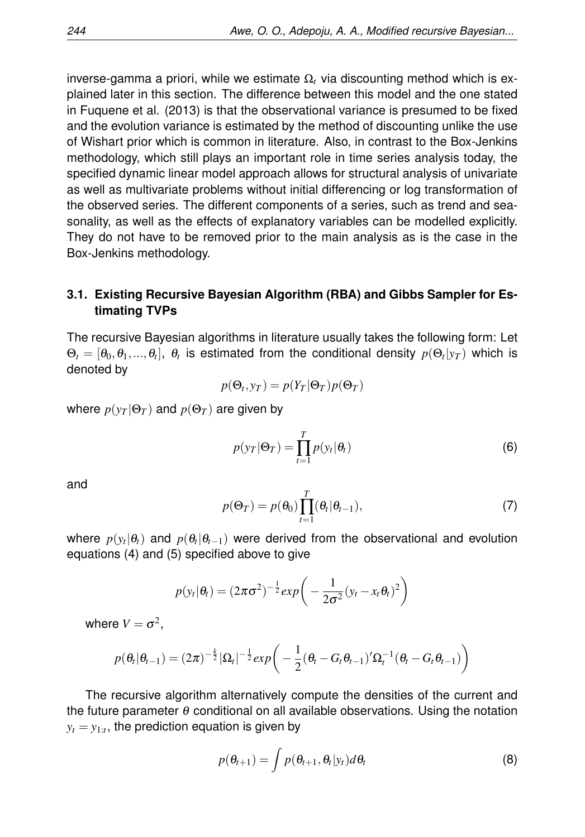inverse-gamma a priori, while we estimate  $Ω<sub>t</sub>$  via discounting method which is explained later in this section. The difference between this model and the one stated in Fuquene et al. (2013) is that the observational variance is presumed to be fixed and the evolution variance is estimated by the method of discounting unlike the use of Wishart prior which is common in literature. Also, in contrast to the Box-Jenkins methodology, which still plays an important role in time series analysis today, the specified dynamic linear model approach allows for structural analysis of univariate as well as multivariate problems without initial differencing or log transformation of the observed series. The different components of a series, such as trend and seasonality, as well as the effects of explanatory variables can be modelled explicitly. They do not have to be removed prior to the main analysis as is the case in the Box-Jenkins methodology.

#### **3.1. Existing Recursive Bayesian Algorithm (RBA) and Gibbs Sampler for Estimating TVPs**

The recursive Bayesian algorithms in literature usually takes the following form: Let  $\Theta_t=[\theta_0,\theta_1,...,\theta_t],\; \theta_t$  is estimated from the conditional density  $p(\Theta_t|y_T)$  which is denoted by

$$
p(\Theta_t, y_T) = p(Y_T | \Theta_T) p(\Theta_T)
$$

where  $p(y_T | \Theta_T)$  and  $p(\Theta_T)$  are given by

$$
p(y_T|\Theta_T) = \prod_{t=1}^T p(y_t|\theta_t)
$$
\n(6)

and

$$
p(\Theta_T) = p(\theta_0) \prod_{t=1}^T (\theta_t | \theta_{t-1}), \qquad (7)
$$

where  $p(y_t|\theta_t)$  and  $p(\theta_t|\theta_{t-1})$  were derived from the observational and evolution equations (4) and (5) specified above to give

$$
p(y_t|\theta_t) = (2\pi\sigma^2)^{-\frac{1}{2}} exp\bigg(-\frac{1}{2\sigma^2}(y_t - x_t\theta_t)^2\bigg)
$$

where  $V = \sigma^2$ ,

$$
p(\theta_t|\theta_{t-1}) = (2\pi)^{-\frac{k}{2}} |\Omega_t|^{-\frac{1}{2}} exp\bigg(-\frac{1}{2}(\theta_t - G_t \theta_{t-1})' \Omega_t^{-1}(\theta_t - G_t \theta_{t-1})\bigg)
$$

The recursive algorithm alternatively compute the densities of the current and the future parameter  $\theta$  conditional on all available observations. Using the notation  $y_t = y_{1:t}$ , the prediction equation is given by

$$
p(\theta_{t+1}) = \int p(\theta_{t+1}, \theta_t | y_t) d\theta_t
$$
 (8)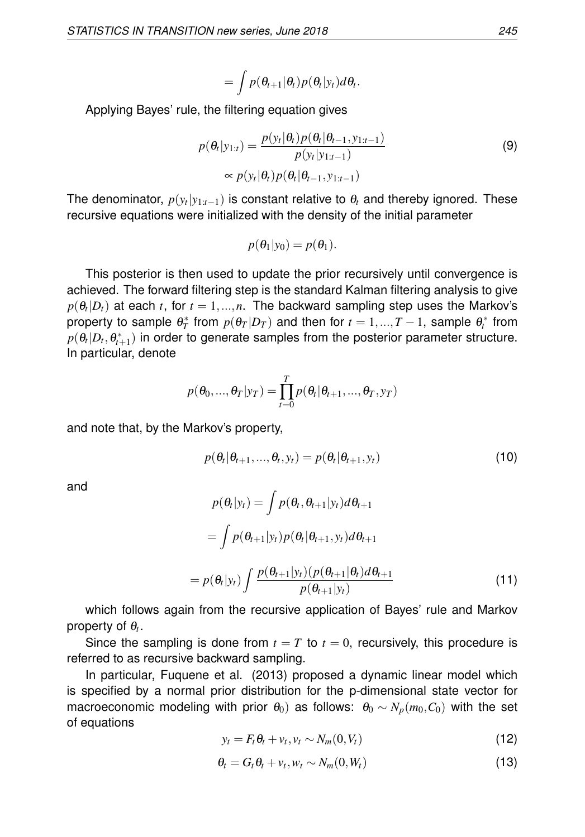$$
= \int p(\theta_{t+1}|\theta_t) p(\theta_t|y_t) d\theta_t.
$$

Applying Bayes' rule, the filtering equation gives

$$
p(\theta_t|y_{1:t}) = \frac{p(y_t|\theta_t)p(\theta_t|\theta_{t-1}, y_{1:t-1})}{p(y_t|y_{1:t-1})}
$$
\n
$$
\propto p(y_t|\theta_t)p(\theta_t|\theta_{t-1}, y_{1:t-1})
$$
\n(9)

The denominator,  $p(y_t|y_{1:t-1})$  is constant relative to  $\theta_t$  and thereby ignored. These recursive equations were initialized with the density of the initial parameter

$$
p(\theta_1|y_0)=p(\theta_1).
$$

This posterior is then used to update the prior recursively until convergence is achieved. The forward filtering step is the standard Kalman filtering analysis to give  $p(\theta_t|D_t)$  at each  $t,$  for  $t=1,...,n.$  The backward sampling step uses the Markov's property to sample  $\theta_T^*$  from  $p(\theta_T|D_T)$  and then for  $t = 1,...,T-1$ , sample  $\theta_t^*$  from  $p(\theta_t|D_t, \theta_{t+1}^*)$  in order to generate samples from the posterior parameter structure. In particular, denote

$$
p(\theta_0, ..., \theta_T | y_T) = \prod_{t=0}^T p(\theta_t | \theta_{t+1}, ..., \theta_T, y_T)
$$

and note that, by the Markov's property,

$$
p(\theta_t | \theta_{t+1}, ..., \theta_t, y_t) = p(\theta_t | \theta_{t+1}, y_t)
$$
\n(10)

and

$$
p(\theta_t|y_t) = \int p(\theta_t, \theta_{t+1}|y_t) d\theta_{t+1}
$$
  
= 
$$
\int p(\theta_{t+1}|y_t) p(\theta_t|\theta_{t+1}, y_t) d\theta_{t+1}
$$
  
= 
$$
p(\theta_t|y_t) \int \frac{p(\theta_{t+1}|y_t) (p(\theta_{t+1}|\theta_t) d\theta_{t+1})}{p(\theta_{t+1}|y_t)}
$$
(11)

which follows again from the recursive application of Bayes' rule and Markov property of  $\theta_t$ .

Since the sampling is done from  $t = T$  to  $t = 0$ , recursively, this procedure is referred to as recursive backward sampling.

In particular, Fuquene et al. (2013) proposed a dynamic linear model which is specified by a normal prior distribution for the p-dimensional state vector for macroeconomic modeling with prior  $\theta_0$ ) as follows:  $\theta_0 \sim N_p(m_0, C_0)$  with the set of equations

$$
y_t = F_t \theta_t + v_t, v_t \sim N_m(0, V_t)
$$
\n(12)

$$
\theta_t = G_t \theta_t + v_t, w_t \sim N_m(0, W_t)
$$
\n(13)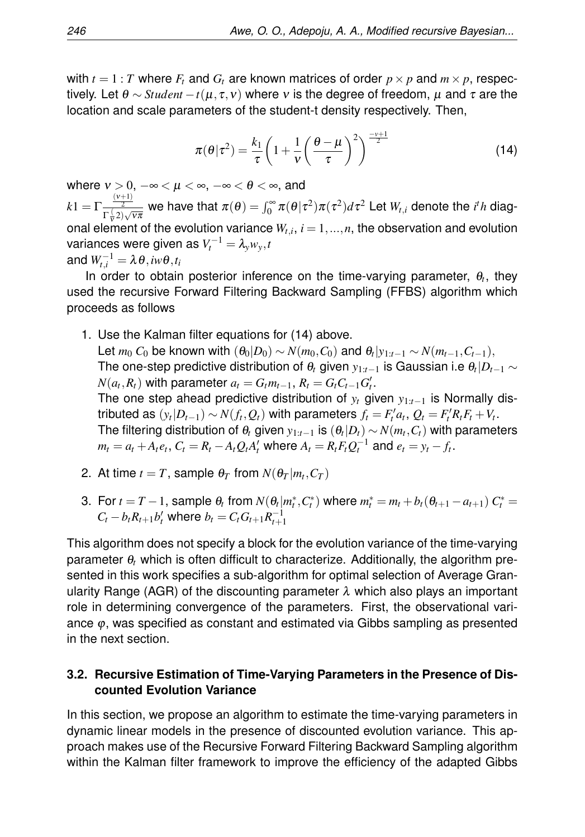with  $t = 1 : T$  where  $F_t$  and  $G_t$  are known matrices of order  $p \times p$  and  $m \times p$ , respectively. Let *θ* ∼ *Student* −*t*( $\mu, \tau, \nu$ ) where *ν* is the degree of freedom,  $\mu$  and  $\tau$  are the location and scale parameters of the student-t density respectively. Then,

$$
\pi(\theta|\tau^2) = \frac{k_1}{\tau} \left(1 + \frac{1}{\nu} \left(\frac{\theta - \mu}{\tau}\right)^2\right)^{-\frac{\nu + 1}{2}}\tag{14}
$$

where  $v > 0$ ,  $-\infty < \mu < \infty$ ,  $-\infty < \theta < \infty$ , and  $k1 = \Gamma \frac{\frac{(v+1)}{2}}{\Gamma(2)}$  $\frac{1}{\Gamma(\frac{1}{\mathcal{V}}2)\sqrt{v\pi}}$  we have that  $\pi(\theta)=\int_0^\infty\pi(\theta|\tau^2)\pi(\tau^2)d\tau^2$  Let  $W_{t,i}$  denote the *i'h* diagonal element of the evolution variance  $W_{t,i}$ ,  $i = 1,...,n$ , the observation and evolution  $\mathsf{variances}$  were given as  $V_t^{-1} = \lambda_{\mathrm{y}} w_{\mathrm{y}}, t$ and  $W_{t,i}^{-1} = \lambda \, \theta$  ,  $i w \theta$  ,  $t_i$ 

In order to obtain posterior inference on the time-varying parameter,  $\theta_t$ , they used the recursive Forward Filtering Backward Sampling (FFBS) algorithm which proceeds as follows

- 1. Use the Kalman filter equations for (14) above. Let  $m_0$   $C_0$  be known with  $(\theta_0|D_0) \sim N(m_0, C_0)$  and  $\theta_t|y_{1:t-1} \sim N(m_{t-1}, C_{t-1}),$ The one-step predictive distribution of θ*<sup>t</sup>* given *y*1:*t*−<sup>1</sup> is Gaussian i.e θ*<sup>t</sup>* |*Dt*−<sup>1</sup> ∼  $N(a_t, R_t)$  with parameter  $a_t = G_t m_{t-1}, R_t = G_t C_{t-1} G_t'.$ The one step ahead predictive distribution of *y<sup>t</sup>* given *y*1:*t*−<sup>1</sup> is Normally distributed as  $(y_t|D_{t-1}) \sim N(f_t, Q_t)$  with parameters  $f_t = F'_t a_t$ ,  $Q_t = F'_t R_t F_t + V_t$ . The filtering distribution of  $\theta_t$  given  $y_{1:t-1}$  is  $(\theta_t|D_t) \sim N(m_t, C_t)$  with parameters  $m_t = a_t + A_t e_t$ ,  $C_t = R_t - A_t Q_t A_t'$  where  $A_t = R_t F_t Q_t^{-1}$  and  $e_t = y_t - f_t$ .
- 2. At time  $t = T$ , sample  $\theta_T$  from  $N(\theta_T|m_t, C_T)$
- 3. For  $t = T 1$ , sample  $\theta_t$  from  $N(\theta_t|m_t^*, C_t^*)$  where  $m_t^* = m_t + b_t(\theta_{t+1} a_{t+1}) C_t^* =$  $C_t - b_t R_{t+1} b'_t$  where  $b_t = C_t G_{t+1} R_{t+1}^{-1}$

This algorithm does not specify a block for the evolution variance of the time-varying parameter θ*<sup>t</sup>* which is often difficult to characterize. Additionally, the algorithm presented in this work specifies a sub-algorithm for optimal selection of Average Granularity Range (AGR) of the discounting parameter  $\lambda$  which also plays an important role in determining convergence of the parameters. First, the observational variance  $\varphi$ , was specified as constant and estimated via Gibbs sampling as presented in the next section.

#### **3.2. Recursive Estimation of Time-Varying Parameters in the Presence of Discounted Evolution Variance**

In this section, we propose an algorithm to estimate the time-varying parameters in dynamic linear models in the presence of discounted evolution variance. This approach makes use of the Recursive Forward Filtering Backward Sampling algorithm within the Kalman filter framework to improve the efficiency of the adapted Gibbs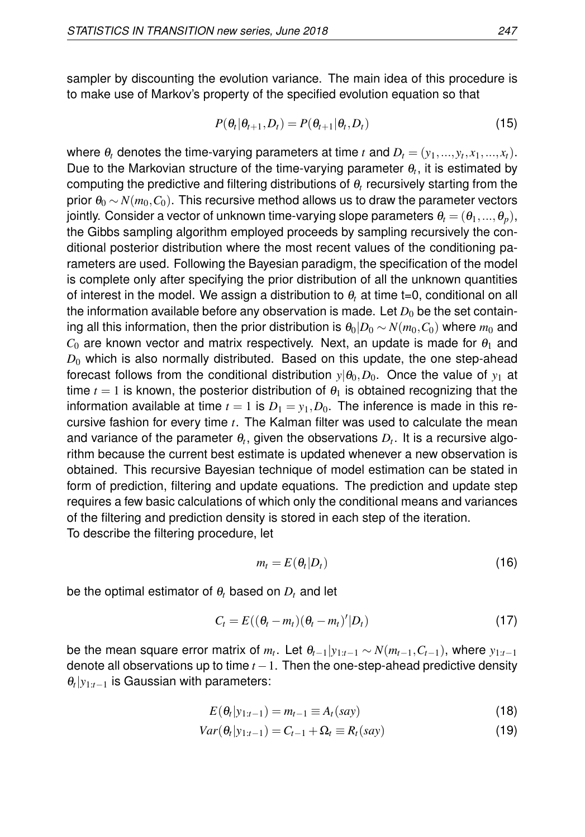sampler by discounting the evolution variance. The main idea of this procedure is to make use of Markov's property of the specified evolution equation so that

$$
P(\theta_t | \theta_{t+1}, D_t) = P(\theta_{t+1} | \theta_t, D_t)
$$
\n(15)

where  $\theta_t$  denotes the time-varying parameters at time  $t$  and  $D_t = (y_1,...,y_t,x_1,...,x_t)$ . Due to the Markovian structure of the time-varying parameter  $\theta_t$ , it is estimated by computing the predictive and filtering distributions of θ*<sup>t</sup>* recursively starting from the prior  $\theta_0 \sim N(m_0, C_0)$ . This recursive method allows us to draw the parameter vectors jointly. Consider a vector of unknown time-varying slope parameters  $\theta_t = (\theta_1, ..., \theta_p)$ , the Gibbs sampling algorithm employed proceeds by sampling recursively the conditional posterior distribution where the most recent values of the conditioning parameters are used. Following the Bayesian paradigm, the specification of the model is complete only after specifying the prior distribution of all the unknown quantities of interest in the model. We assign a distribution to  $\theta_t$  at time t=0, conditional on all the information available before any observation is made. Let  $D_0$  be the set containing all this information, then the prior distribution is  $\theta_0|D_0 \sim N(m_0, C_0)$  where  $m_0$  and  $C_0$  are known vector and matrix respectively. Next, an update is made for  $\theta_1$  and  $D_0$  which is also normally distributed. Based on this update, the one step-ahead forecast follows from the conditional distribution  $y|\theta_0, D_0$ . Once the value of  $y_1$  at time  $t = 1$  is known, the posterior distribution of  $\theta_1$  is obtained recognizing that the information available at time  $t = 1$  is  $D_1 = y_1, D_0$ . The inference is made in this recursive fashion for every time *t*. The Kalman filter was used to calculate the mean and variance of the parameter  $\theta_t$ , given the observations  $D_t.$  It is a recursive algorithm because the current best estimate is updated whenever a new observation is obtained. This recursive Bayesian technique of model estimation can be stated in form of prediction, filtering and update equations. The prediction and update step requires a few basic calculations of which only the conditional means and variances of the filtering and prediction density is stored in each step of the iteration. To describe the filtering procedure, let

$$
m_t = E(\theta_t | D_t) \tag{16}
$$

be the optimal estimator of  $\theta_t$  based on  $D_t$  and let

$$
C_t = E((\theta_t - m_t)(\theta_t - m_t)' | D_t)
$$
\n(17)

be the mean square error matrix of  $m_t$ . Let  $\theta_{t-1}|y_{1:t-1} \sim N(m_{t-1},C_{t-1}),$  where  $y_{1:t-1}$ denote all observations up to time  $t - 1$ . Then the one-step-ahead predictive density θ*t* |*y*1:*t*−<sup>1</sup> is Gaussian with parameters:

$$
E(\theta_t|y_{1:t-1}) = m_{t-1} \equiv A_t(say)
$$
\n(18)

$$
Var(\theta_t | y_{1:t-1}) = C_{t-1} + \Omega_t \equiv R_t(say)
$$
\n(19)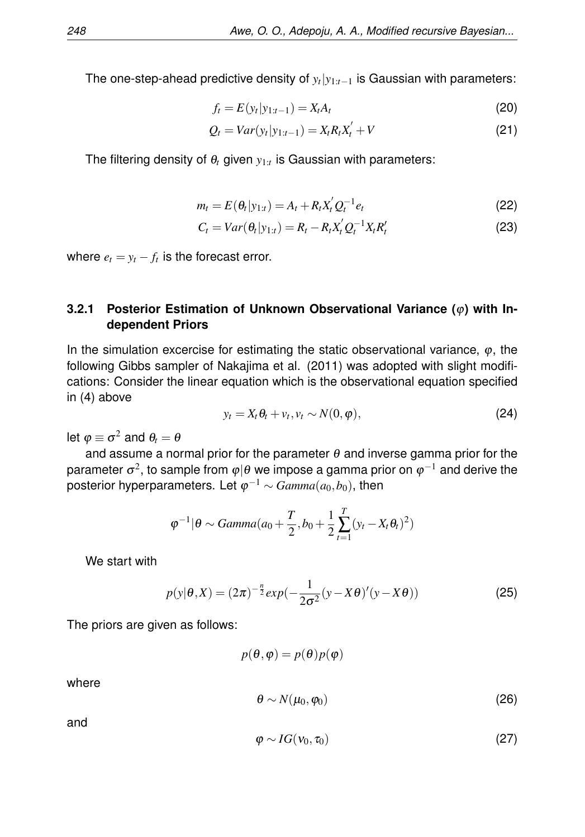The one-step-ahead predictive density of *y<sup>t</sup>* |*y*1:*t*−<sup>1</sup> is Gaussian with parameters:

$$
f_t = E(y_t|y_{1:t-1}) = X_t A_t
$$
\n(20)

$$
Q_t = Var(y_t|y_{1:t-1}) = X_t R_t X_t' + V
$$
\n(21)

The filtering density of  $\theta_t$  given  $y_{1:t}$  is Gaussian with parameters:

$$
m_t = E(\theta_t | y_{1:t}) = A_t + R_t X_t' Q_t^{-1} e_t
$$
\n(22)

$$
C_t = Var(\theta_t | y_{1:t}) = R_t - R_t X_t' Q_t^{-1} X_t R_t'
$$
\n(23)

where  $e_t = y_t - f_t$  is the forecast error.

#### **3.2.1 Posterior Estimation of Unknown Observational Variance (**ϕ**) with Independent Priors**

In the simulation excercise for estimating the static observational variance,  $\varphi$ , the following Gibbs sampler of Nakajima et al. (2011) was adopted with slight modifications: Consider the linear equation which is the observational equation specified in (4) above

$$
y_t = X_t \theta_t + v_t, v_t \sim N(0, \varphi), \qquad (24)
$$

let  $\varphi\equiv\sigma^2$  and  $\theta_t=\theta$ 

and assume a normal prior for the parameter  $\theta$  and inverse gamma prior for the parameter  $\sigma^2$ , to sample from  $\varphi|\theta$  we impose a gamma prior on  $\varphi^{-1}$  and derive the posterior hyperparameters. Let  $\varphi^{-1} \sim \mathit{Gamma}(a_0,b_0),$  then

$$
\varphi^{-1}|\theta \sim Gamma(a_0+\frac{T}{2},b_0+\frac{1}{2}\sum_{t=1}^T(y_t-X_t\theta_t)^2)
$$

We start with

$$
p(y|\theta, X) = (2\pi)^{-\frac{n}{2}} exp(-\frac{1}{2\sigma^2}(y - X\theta)'(y - X\theta))
$$
 (25)

The priors are given as follows:

$$
p(\theta, \varphi) = p(\theta)p(\varphi)
$$

where

$$
\theta \sim N(\mu_0, \varphi_0) \tag{26}
$$

and

$$
\varphi \sim IG(\nu_0, \tau_0) \tag{27}
$$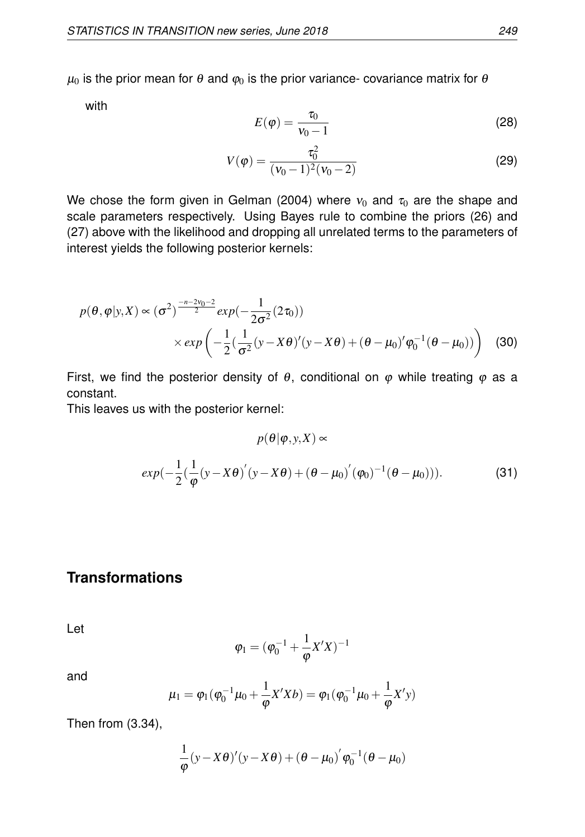$\mu_0$  is the prior mean for  $\theta$  and  $\varphi_0$  is the prior variance- covariance matrix for  $\theta$ 

with

$$
E(\varphi) = \frac{\tau_0}{v_0 - 1} \tag{28}
$$

$$
V(\varphi) = \frac{\tau_0^2}{(\nu_0 - 1)^2 (\nu_0 - 2)}\tag{29}
$$

We chose the form given in Gelman (2004) where  $v_0$  and  $\tau_0$  are the shape and scale parameters respectively. Using Bayes rule to combine the priors (26) and (27) above with the likelihood and dropping all unrelated terms to the parameters of interest yields the following posterior kernels:

$$
p(\theta, \varphi | y, X) \propto (\sigma^2)^{\frac{-n-2\nu_0 - 2}{2}} exp(-\frac{1}{2\sigma^2} (2\tau_0))
$$
  
×  $exp\left(-\frac{1}{2}(\frac{1}{\sigma^2}(y - X\theta)'(y - X\theta) + (\theta - \mu_0)'\varphi_0^{-1}(\theta - \mu_0))\right)$  (30)

First, we find the posterior density of  $\theta$ , conditional on  $\varphi$  while treating  $\varphi$  as a constant.

This leaves us with the posterior kernel:

$$
p(\theta|\varphi, y, X) \propto
$$
  
 
$$
exp(-\frac{1}{2}(\frac{1}{\varphi}(y - X\theta)'(y - X\theta) + (\theta - \mu_0)'(\varphi_0)^{-1}(\theta - \mu_0))).
$$
 (31)

## **Transformations**

Let

$$
\varphi_1 = (\varphi_0^{-1} + \frac{1}{\varphi} X'X)^{-1}
$$

and

$$
\mu_1 = \varphi_1(\varphi_0^{-1}\mu_0 + \frac{1}{\varphi}X'Xb) = \varphi_1(\varphi_0^{-1}\mu_0 + \frac{1}{\varphi}X'y)
$$

Then from (3.34),

$$
\frac{1}{\varphi}(y-X\theta)'(y-X\theta) + (\theta - \mu_0)' \varphi_0^{-1}(\theta - \mu_0)
$$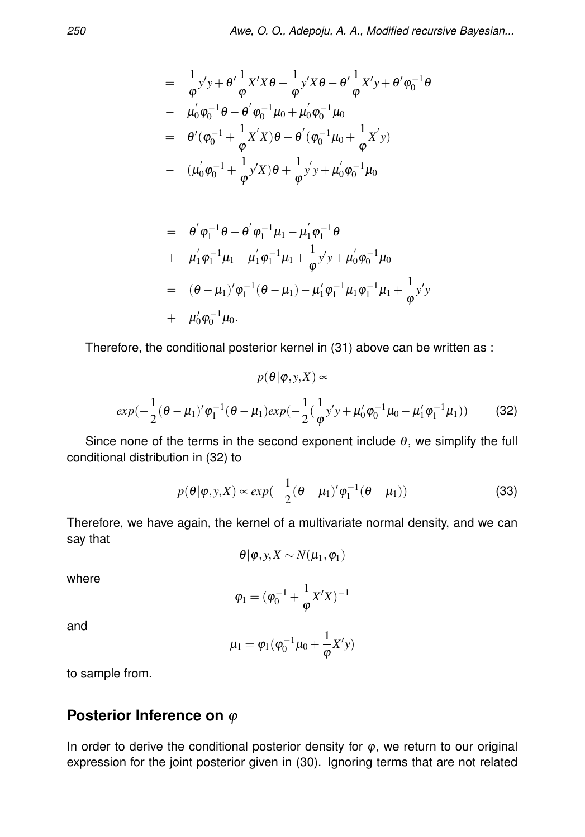$$
= \frac{1}{\varphi} y' y + \theta' \frac{1}{\varphi} X' X \theta - \frac{1}{\varphi} y' X \theta - \theta' \frac{1}{\varphi} X' y + \theta' \varphi_0^{-1} \theta
$$
  
\n
$$
= \mu'_0 \varphi_0^{-1} \theta - \theta' \varphi_0^{-1} \mu_0 + \mu'_0 \varphi_0^{-1} \mu_0
$$
  
\n
$$
= \theta' (\varphi_0^{-1} + \frac{1}{\varphi} X' X) \theta - \theta' (\varphi_0^{-1} \mu_0 + \frac{1}{\varphi} X' y)
$$
  
\n
$$
- (\mu'_0 \varphi_0^{-1} + \frac{1}{\varphi} y' X) \theta + \frac{1}{\varphi} y' y + \mu'_0 \varphi_0^{-1} \mu_0
$$

$$
= \theta' \varphi_1^{-1} \theta - \theta' \varphi_1^{-1} \mu_1 - \mu'_1 \varphi_1^{-1} \theta
$$
  
+  $\mu'_1 \varphi_1^{-1} \mu_1 - \mu'_1 \varphi_1^{-1} \mu_1 + \frac{1}{\varphi} y' y + \mu'_0 \varphi_0^{-1} \mu_0$   
=  $(\theta - \mu_1)' \varphi_1^{-1} (\theta - \mu_1) - \mu'_1 \varphi_1^{-1} \mu_1 \varphi_1^{-1} \mu_1 + \frac{1}{\varphi} y' y$   
+  $\mu'_0 \varphi_0^{-1} \mu_0$ .

Therefore, the conditional posterior kernel in (31) above can be written as :

$$
p(\theta|\varphi, y, X) \propto
$$
  
 
$$
exp(-\frac{1}{2}(\theta - \mu_1)'\varphi_1^{-1}(\theta - \mu_1)exp(-\frac{1}{2}(\frac{1}{\varphi}y'y + \mu'_0\varphi_0^{-1}\mu_0 - \mu'_1\varphi_1^{-1}\mu_1))
$$
 (32)

Since none of the terms in the second exponent include  $\theta$ , we simplify the full conditional distribution in (32) to

$$
p(\theta|\varphi, y, X) \propto exp(-\frac{1}{2}(\theta - \mu_1)' \varphi_1^{-1}(\theta - \mu_1))
$$
\n(33)

Therefore, we have again, the kernel of a multivariate normal density, and we can say that

$$
\theta | \varphi, y, X \sim N(\mu_1, \varphi_1)
$$

where

$$
\phi_1=(\phi_0^{-1}+\frac{1}{\phi}X'X)^{-1}
$$

and

$$
\mu_1=\varphi_1(\varphi_0^{-1}\mu_0+\frac{1}{\varphi}X'y)
$$

to sample from.

## **Posterior Inference on** φ

In order to derive the conditional posterior density for  $\varphi$ , we return to our original expression for the joint posterior given in (30). Ignoring terms that are not related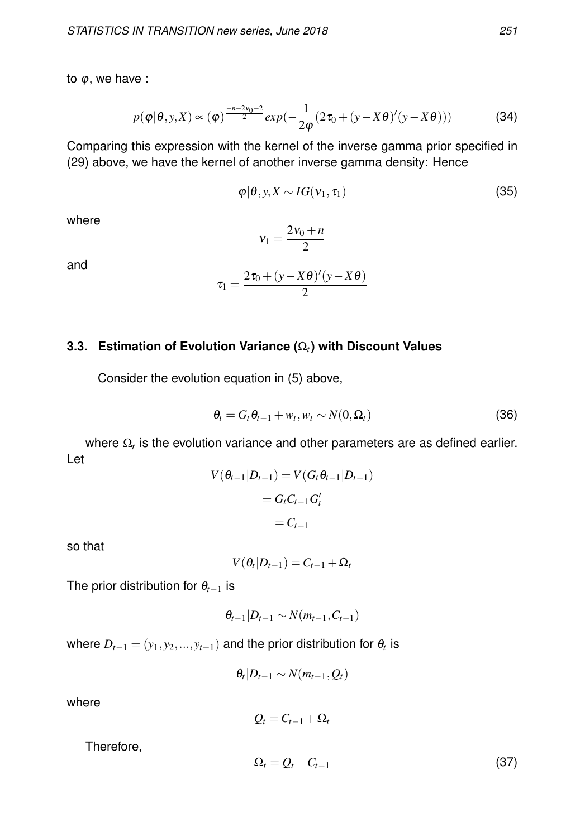to  $\varphi$ , we have :

$$
p(\varphi|\theta, y, X) \propto (\varphi)^{\frac{-n-2\nu_0-2}{2}} exp(-\frac{1}{2\varphi}(2\tau_0 + (y - X\theta)'(y - X\theta)))
$$
 (34)

Comparing this expression with the kernel of the inverse gamma prior specified in (29) above, we have the kernel of another inverse gamma density: Hence

$$
\varphi|\theta, y, X \sim IG(v_1, \tau_1) \tag{35}
$$

where

$$
v_1 = \frac{2v_0 + n}{2}
$$

and

$$
\tau_1 = \frac{2\tau_0 + (y - X\theta)'(y - X\theta)}{2}
$$

#### **3.3. Estimation of Evolution Variance (**Ω*t***) with Discount Values**

Consider the evolution equation in (5) above,

$$
\theta_t = G_t \theta_{t-1} + w_t, w_t \sim N(0, \Omega_t)
$$
\n(36)

where  $\Omega_t$  is the evolution variance and other parameters are as defined earlier. Let

$$
V(\theta_{t-1}|D_{t-1}) = V(G_t \theta_{t-1}|D_{t-1})
$$

$$
= G_t C_{t-1} G'_t
$$

$$
= C_{t-1}
$$

so that

$$
V(\theta_t|D_{t-1})=C_{t-1}+\Omega_t
$$

The prior distribution for θ*t*−<sup>1</sup> is

$$
\theta_{t-1}|D_{t-1} \sim N(m_{t-1},C_{t-1})
$$

where  $D_{t-1} = (y_1, y_2, ..., y_{t-1})$  and the prior distribution for  $\theta_t$  is

$$
\theta_t|D_{t-1} \sim N(m_{t-1}, Q_t)
$$

where

 $Q_t = C_{t-1} + \Omega_t$ 

Therefore,

$$
\Omega_t = Q_t - C_{t-1} \tag{37}
$$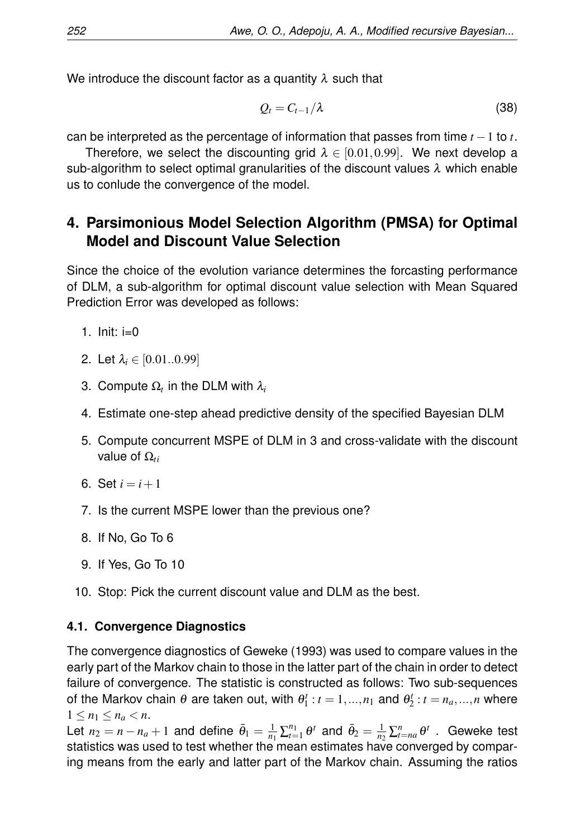We introduce the discount factor as a quantity  $\lambda$  such that

$$
Q_t = C_{t-1}/\lambda \tag{38}
$$

can be interpreted as the percentage of information that passes from time *t* −1 to *t*.

Therefore, we select the discounting grid  $\lambda \in [0.01, 0.99]$ . We next develop a sub-algorithm to select optimal granularities of the discount values  $\lambda$  which enable us to conlude the convergence of the model.

# **4. Parsimonious Model Selection Algorithm (PMSA) for Optimal Model and Discount Value Selection**

Since the choice of the evolution variance determines the forcasting performance of DLM, a sub-algorithm for optimal discount value selection with Mean Squared Prediction Error was developed as follows:

- 1. Init:  $i=0$
- 2. Let  $\lambda_i \in [0.01..0.99]$
- 3. Compute  $\Omega_t$  in the DLM with  $\lambda_i$
- 4. Estimate one-step ahead predictive density of the specified Bayesian DLM
- 5. Compute concurrent MSPE of DLM in 3 and cross-validate with the discount value of  $Ω<sub>ti</sub>$
- 6. Set  $i = i + 1$
- 7. Is the current MSPE lower than the previous one?
- 8. If No, Go To 6
- 9. If Yes, Go To 10
- 10. Stop: Pick the current discount value and DLM as the best.

## **4.1. Convergence Diagnostics**

The convergence diagnostics of Geweke (1993) was used to compare values in the early part of the Markov chain to those in the latter part of the chain in order to detect failure of convergence. The statistic is constructed as follows: Two sub-sequences of the Markov chain  $\theta$  are taken out, with  $\theta_1^t : t = 1, ..., n_1$  and  $\theta_2^t : t = n_a, ..., n$  where  $1 \leq n_1 \leq n_a < n$ .

Let  $n_2 = n - n_a + 1$  and define  $\bar{\theta}_1 = \frac{1}{n_1} \sum_{t=1}^{n_1} \theta^t$  and  $\bar{\theta}_2 = \frac{1}{n_2} \sum_{t=n_a}^{n} \theta^t$ . Geweke test statistics was used to test whether the mean estimates have converged by comparing means from the early and latter part of the Markov chain. Assuming the ratios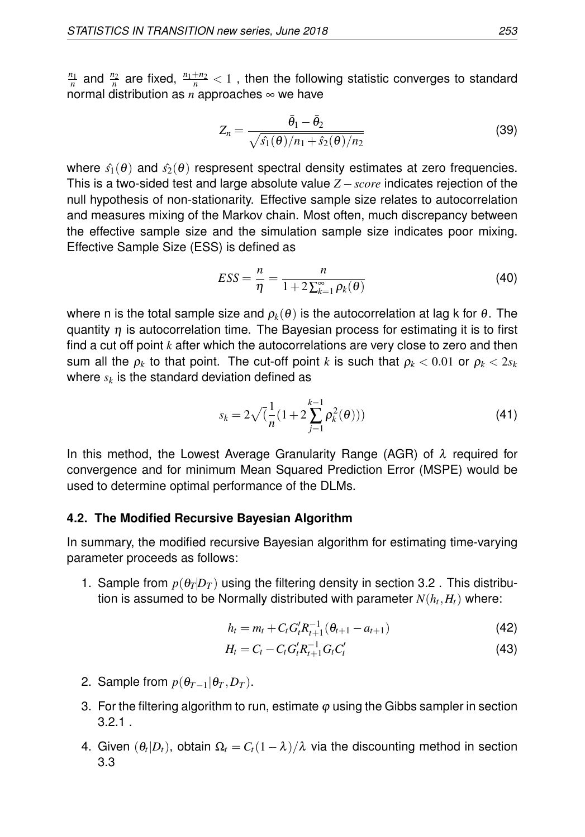$\frac{n_1}{n}$  and  $\frac{n_2}{n}$  are fixed,  $\frac{n_1+n_2}{n} < 1$  , then the following statistic converges to standard normal distribution as  $n$  approaches  $\infty$  we have

$$
Z_n = \frac{\bar{\theta}_1 - \bar{\theta}_2}{\sqrt{\hat{s}_1(\theta)/n_1 + \hat{s}_2(\theta)/n_2}}
$$
(39)

where  $\hat{s}_1(\theta)$  and  $\hat{s}_2(\theta)$  respresent spectral density estimates at zero frequencies. This is a two-sided test and large absolute value *Z* −*score* indicates rejection of the null hypothesis of non-stationarity. Effective sample size relates to autocorrelation and measures mixing of the Markov chain. Most often, much discrepancy between the effective sample size and the simulation sample size indicates poor mixing. Effective Sample Size (ESS) is defined as

$$
ESS = \frac{n}{\eta} = \frac{n}{1 + 2\sum_{k=1}^{\infty} \rho_k(\theta)}
$$
(40)

where n is the total sample size and  $\rho_k(\theta)$  is the autocorrelation at lag k for  $\theta$ . The quantity  $\eta$  is autocorrelation time. The Bayesian process for estimating it is to first find a cut off point *k* after which the autocorrelations are very close to zero and then sum all the  $\rho_k$  to that point. The cut-off point  $k$  is such that  $\rho_k < 0.01$  or  $\rho_k < 2 s_k$ where  $s_k$  is the standard deviation defined as  $\,$ 

$$
s_k = 2\sqrt{\left(\frac{1}{n}(1+2\sum_{j=1}^{k-1}\rho_k^2(\theta))\right)}
$$
(41)

In this method, the Lowest Average Granularity Range (AGR) of  $\lambda$  required for convergence and for minimum Mean Squared Prediction Error (MSPE) would be used to determine optimal performance of the DLMs.

#### **4.2. The Modified Recursive Bayesian Algorithm**

In summary, the modified recursive Bayesian algorithm for estimating time-varying parameter proceeds as follows:

1. Sample from  $p(\theta_T|D_T)$  using the filtering density in section 3.2. This distribution is assumed to be Normally distributed with parameter  $N(h_t,H_t)$  where:

$$
h_t = m_t + C_t G_t' R_{t+1}^{-1} (\theta_{t+1} - a_{t+1})
$$
\n(42)

$$
H_t = C_t - C_t G_t' R_{t+1}^{-1} G_t C_t' \tag{43}
$$

- 2. Sample from  $p(\theta_{T-1}|\theta_T, D_T)$ .
- 3. For the filtering algorithm to run, estimate  $\varphi$  using the Gibbs sampler in section 3.2.1 .
- 4. Given  $(\theta_t|D_t)$ , obtain  $\Omega_t = C_t(1-\lambda)/\lambda$  via the discounting method in section 3.3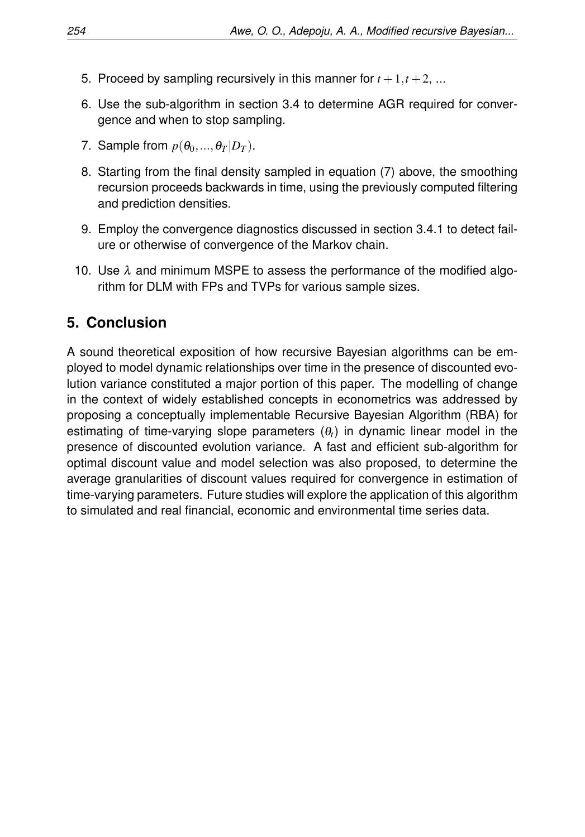- 5. Proceed by sampling recursively in this manner for  $t + 1, t + 2, ...$
- 6. Use the sub-algorithm in section 3.4 to determine AGR required for convergence and when to stop sampling.
- 7. Sample from  $p(\theta_0, ..., \theta_T | D_T)$ .
- 8. Starting from the final density sampled in equation (7) above, the smoothing recursion proceeds backwards in time, using the previously computed filtering and prediction densities.
- 9. Employ the convergence diagnostics discussed in section 3.4.1 to detect failure or otherwise of convergence of the Markov chain.
- 10. Use  $\lambda$  and minimum MSPE to assess the performance of the modified algorithm for DLM with FPs and TVPs for various sample sizes.

## **5. Conclusion**

A sound theoretical exposition of how recursive Bayesian algorithms can be employed to model dynamic relationships over time in the presence of discounted evolution variance constituted a major portion of this paper. The modelling of change in the context of widely established concepts in econometrics was addressed by proposing a conceptually implementable Recursive Bayesian Algorithm (RBA) for estimating of time-varying slope parameters  $(\theta_t)$  in dynamic linear model in the presence of discounted evolution variance. A fast and efficient sub-algorithm for optimal discount value and model selection was also proposed, to determine the average granularities of discount values required for convergence in estimation of time-varying parameters. Future studies will explore the application of this algorithm to simulated and real financial, economic and environmental time series data.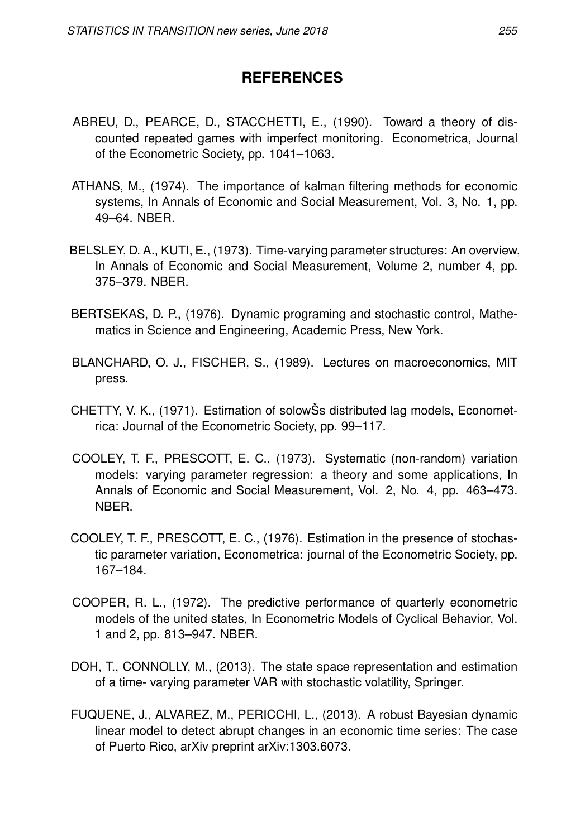# **REFERENCES**

- ABREU, D., PEARCE, D., STACCHETTI, E., (1990). Toward a theory of discounted repeated games with imperfect monitoring. Econometrica, Journal of the Econometric Society, pp. 1041–1063.
- ATHANS, M., (1974). The importance of kalman filtering methods for economic systems, In Annals of Economic and Social Measurement, Vol. 3, No. 1, pp. 49–64. NBER.
- BELSLEY, D. A., KUTI, E., (1973). Time-varying parameter structures: An overview, In Annals of Economic and Social Measurement, Volume 2, number 4, pp. 375–379. NBER.
- BERTSEKAS, D. P., (1976). Dynamic programing and stochastic control, Mathematics in Science and Engineering, Academic Press, New York.
- BLANCHARD, O. J., FISCHER, S., (1989). Lectures on macroeconomics, MIT press.
- CHETTY, V. K., (1971). Estimation of solowŠs distributed lag models, Econometrica: Journal of the Econometric Society, pp. 99–117.
- COOLEY, T. F., PRESCOTT, E. C., (1973). Systematic (non-random) variation models: varying parameter regression: a theory and some applications, In Annals of Economic and Social Measurement, Vol. 2, No. 4, pp. 463–473. NBER.
- COOLEY, T. F., PRESCOTT, E. C., (1976). Estimation in the presence of stochastic parameter variation, Econometrica: journal of the Econometric Society, pp. 167–184.
- COOPER, R. L., (1972). The predictive performance of quarterly econometric models of the united states, In Econometric Models of Cyclical Behavior, Vol. 1 and 2, pp. 813–947. NBER.
- DOH, T., CONNOLLY, M., (2013). The state space representation and estimation of a time- varying parameter VAR with stochastic volatility, Springer.
- FUQUENE, J., ALVAREZ, M., PERICCHI, L., (2013). A robust Bayesian dynamic linear model to detect abrupt changes in an economic time series: The case of Puerto Rico, arXiv preprint arXiv:1303.6073.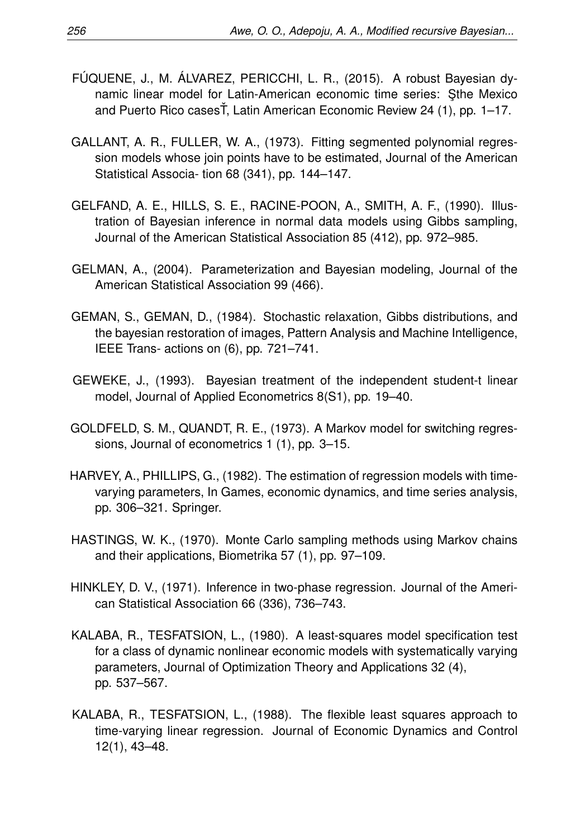- FÚQUENE, J., M. ÁLVAREZ, PERICCHI, L. R., (2015). A robust Bayesian dynamic linear model for Latin-American economic time series: Sthe Mexico and Puerto Rico casesŤ, Latin American Economic Review 24 (1), pp. 1–17.
- GALLANT, A. R., FULLER, W. A., (1973). Fitting segmented polynomial regression models whose join points have to be estimated, Journal of the American Statistical Associa- tion 68 (341), pp. 144–147.
- GELFAND, A. E., HILLS, S. E., RACINE-POON, A., SMITH, A. F., (1990). Illustration of Bayesian inference in normal data models using Gibbs sampling, Journal of the American Statistical Association 85 (412), pp. 972–985.
- GELMAN, A., (2004). Parameterization and Bayesian modeling, Journal of the American Statistical Association 99 (466).
- GEMAN, S., GEMAN, D., (1984). Stochastic relaxation, Gibbs distributions, and the bayesian restoration of images, Pattern Analysis and Machine Intelligence, IEEE Trans- actions on (6), pp. 721–741.
- GEWEKE, J., (1993). Bayesian treatment of the independent student-t linear model, Journal of Applied Econometrics 8(S1), pp. 19–40.
- GOLDFELD, S. M., QUANDT, R. E., (1973). A Markov model for switching regressions, Journal of econometrics 1 (1), pp. 3–15.
- HARVEY, A., PHILLIPS, G., (1982). The estimation of regression models with timevarying parameters, In Games, economic dynamics, and time series analysis, pp. 306–321. Springer.
- HASTINGS, W. K., (1970). Monte Carlo sampling methods using Markov chains and their applications, Biometrika 57 (1), pp. 97–109.
- HINKLEY, D. V., (1971). Inference in two-phase regression. Journal of the American Statistical Association 66 (336), 736–743.
- KALABA, R., TESFATSION, L., (1980). A least-squares model specification test for a class of dynamic nonlinear economic models with systematically varying parameters, Journal of Optimization Theory and Applications 32 (4), pp. 537–567.
- KALABA, R., TESFATSION, L., (1988). The flexible least squares approach to time-varying linear regression. Journal of Economic Dynamics and Control 12(1), 43–48.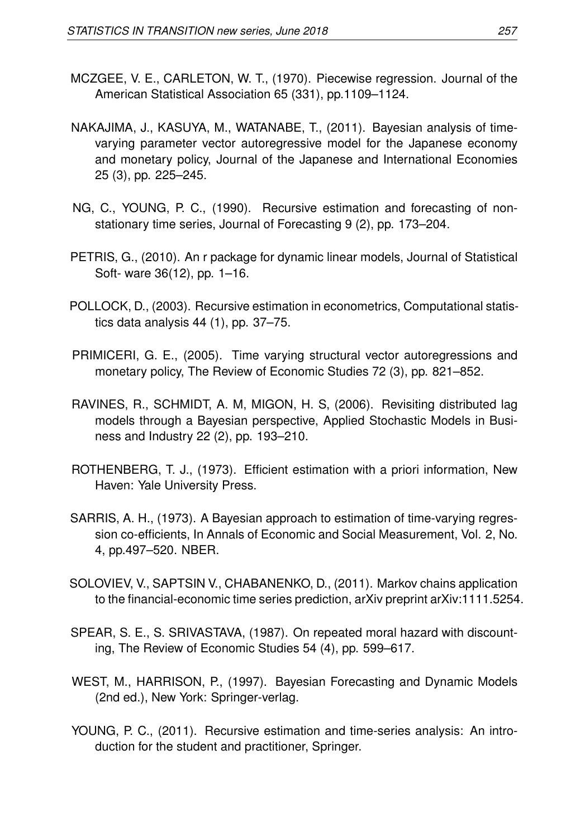- MCZGEE, V. E., CARLETON, W. T., (1970). Piecewise regression. Journal of the American Statistical Association 65 (331), pp.1109–1124.
- NAKAJIMA, J., KASUYA, M., WATANABE, T., (2011). Bayesian analysis of timevarying parameter vector autoregressive model for the Japanese economy and monetary policy, Journal of the Japanese and International Economies 25 (3), pp. 225–245.
- NG, C., YOUNG, P. C., (1990). Recursive estimation and forecasting of nonstationary time series, Journal of Forecasting 9 (2), pp. 173–204.
- PETRIS, G., (2010). An r package for dynamic linear models, Journal of Statistical Soft- ware 36(12), pp. 1–16.
- POLLOCK, D., (2003). Recursive estimation in econometrics, Computational statistics data analysis 44 (1), pp. 37–75.
- PRIMICERI, G. E., (2005). Time varying structural vector autoregressions and monetary policy, The Review of Economic Studies 72 (3), pp. 821–852.
- RAVINES, R., SCHMIDT, A. M, MIGON, H. S, (2006). Revisiting distributed lag models through a Bayesian perspective, Applied Stochastic Models in Business and Industry 22 (2), pp. 193–210.
- ROTHENBERG, T. J., (1973). Efficient estimation with a priori information, New Haven: Yale University Press.
- SARRIS, A. H., (1973). A Bayesian approach to estimation of time-varying regression co-efficients, In Annals of Economic and Social Measurement, Vol. 2, No. 4, pp.497–520. NBER.
- SOLOVIEV, V., SAPTSIN V., CHABANENKO, D., (2011). Markov chains application to the financial-economic time series prediction, arXiv preprint arXiv:1111.5254.
- SPEAR, S. E., S. SRIVASTAVA, (1987). On repeated moral hazard with discounting, The Review of Economic Studies 54 (4), pp. 599–617.
- WEST, M., HARRISON, P., (1997). Bayesian Forecasting and Dynamic Models (2nd ed.), New York: Springer-verlag.
- YOUNG, P. C., (2011). Recursive estimation and time-series analysis: An introduction for the student and practitioner, Springer.